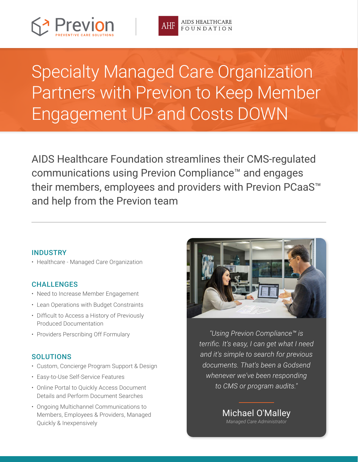



# Specialty Managed Care Organization Partners with Previon to Keep Member Engagement UP and Costs DOWN

AIDS Healthcare Foundation streamlines their CMS-regulated communications using Previon Compliance™ and engages their members, employees and providers with Previon PCaaS™ and help from the Previon team

### INDUSTRY

• Healthcare - Managed Care Organization

### CHALLENGES

- Need to Increase Member Engagement
- Lean Operations with Budget Constraints
- • Difficult to Access a History of Previously Produced Documentation
- Providers Perscribing Off Formulary

### **SOLUTIONS**

- Custom, Concierge Program Support & Design
- • Easy-to-Use Self-Service Features
- Online Portal to Quickly Access Document Details and Perform Document Searches
- Ongoing Multichannel Communications to Members, Employees & Providers, Managed Quickly & Inexpensively



*"Using Previon Compliance™ is terrific. It's easy, I can get what I need and it's simple to search for previous documents. That's been a Godsend whenever we've been responding to CMS or program audits."*

> Michael O'Malley *Managed Care Administrator*